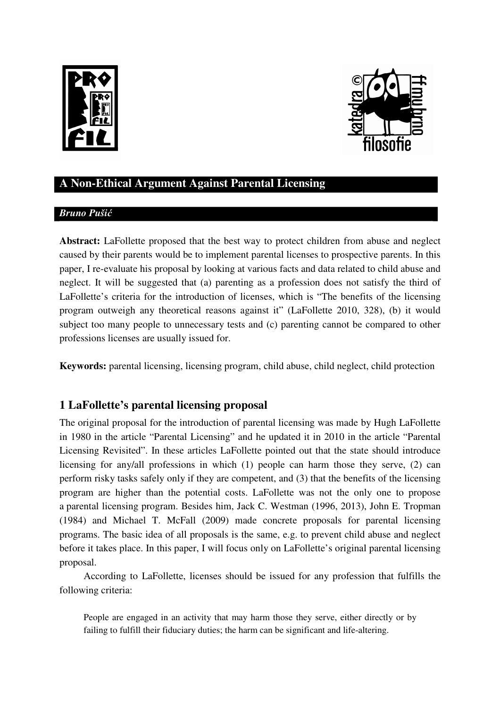



# **A Non-Ethical Argument Against Parental Licensing**

### *Bruno Puši*ć

**Abstract:** LaFollette proposed that the best way to protect children from abuse and neglect caused by their parents would be to implement parental licenses to prospective parents. In this paper, I re-evaluate his proposal by looking at various facts and data related to child abuse and neglect. It will be suggested that (a) parenting as a profession does not satisfy the third of LaFollette's criteria for the introduction of licenses, which is "The benefits of the licensing program outweigh any theoretical reasons against it" (LaFollette 2010, 328), (b) it would subject too many people to unnecessary tests and (c) parenting cannot be compared to other professions licenses are usually issued for.

**Keywords:** parental licensing, licensing program, child abuse, child neglect, child protection

## **1 LaFollette's parental licensing proposal**

The original proposal for the introduction of parental licensing was made by Hugh LaFollette in 1980 in the article "Parental Licensing" and he updated it in 2010 in the article "Parental Licensing Revisited". In these articles LaFollette pointed out that the state should introduce licensing for any/all professions in which (1) people can harm those they serve, (2) can perform risky tasks safely only if they are competent, and (3) that the benefits of the licensing program are higher than the potential costs. LaFollette was not the only one to propose a parental licensing program. Besides him, Jack C. Westman (1996, 2013), John E. Tropman (1984) and Michael T. McFall (2009) made concrete proposals for parental licensing programs. The basic idea of all proposals is the same, e.g. to prevent child abuse and neglect before it takes place. In this paper, I will focus only on LaFollette's original parental licensing proposal.

According to LaFollette, licenses should be issued for any profession that fulfills the following criteria:

People are engaged in an activity that may harm those they serve, either directly or by failing to fulfill their fiduciary duties; the harm can be significant and life-altering.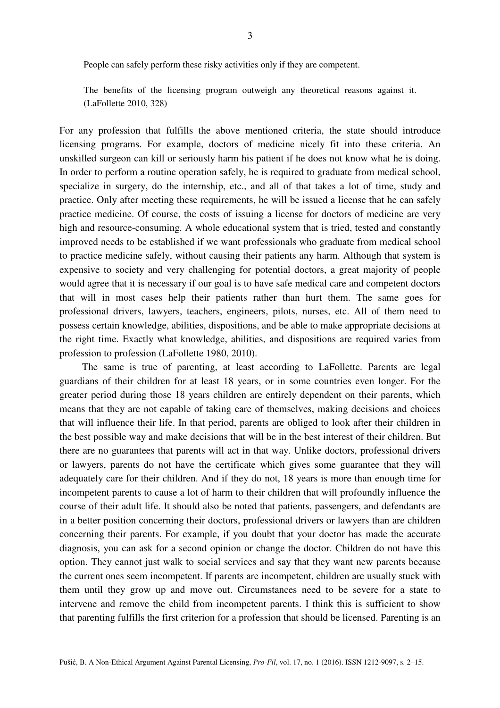People can safely perform these risky activities only if they are competent.

The benefits of the licensing program outweigh any theoretical reasons against it. (LaFollette 2010, 328)

For any profession that fulfills the above mentioned criteria, the state should introduce licensing programs. For example, doctors of medicine nicely fit into these criteria. An unskilled surgeon can kill or seriously harm his patient if he does not know what he is doing. In order to perform a routine operation safely, he is required to graduate from medical school, specialize in surgery, do the internship, etc., and all of that takes a lot of time, study and practice. Only after meeting these requirements, he will be issued a license that he can safely practice medicine. Of course, the costs of issuing a license for doctors of medicine are very high and resource-consuming. A whole educational system that is tried, tested and constantly improved needs to be established if we want professionals who graduate from medical school to practice medicine safely, without causing their patients any harm. Although that system is expensive to society and very challenging for potential doctors, a great majority of people would agree that it is necessary if our goal is to have safe medical care and competent doctors that will in most cases help their patients rather than hurt them. The same goes for professional drivers, lawyers, teachers, engineers, pilots, nurses, etc. All of them need to possess certain knowledge, abilities, dispositions, and be able to make appropriate decisions at the right time. Exactly what knowledge, abilities, and dispositions are required varies from profession to profession (LaFollette 1980, 2010).

The same is true of parenting, at least according to LaFollette. Parents are legal guardians of their children for at least 18 years, or in some countries even longer. For the greater period during those 18 years children are entirely dependent on their parents, which means that they are not capable of taking care of themselves, making decisions and choices that will influence their life. In that period, parents are obliged to look after their children in the best possible way and make decisions that will be in the best interest of their children. But there are no guarantees that parents will act in that way. Unlike doctors, professional drivers or lawyers, parents do not have the certificate which gives some guarantee that they will adequately care for their children. And if they do not, 18 years is more than enough time for incompetent parents to cause a lot of harm to their children that will profoundly influence the course of their adult life. It should also be noted that patients, passengers, and defendants are in a better position concerning their doctors, professional drivers or lawyers than are children concerning their parents. For example, if you doubt that your doctor has made the accurate diagnosis, you can ask for a second opinion or change the doctor. Children do not have this option. They cannot just walk to social services and say that they want new parents because the current ones seem incompetent. If parents are incompetent, children are usually stuck with them until they grow up and move out. Circumstances need to be severe for a state to intervene and remove the child from incompetent parents. I think this is sufficient to show that parenting fulfills the first criterion for a profession that should be licensed. Parenting is an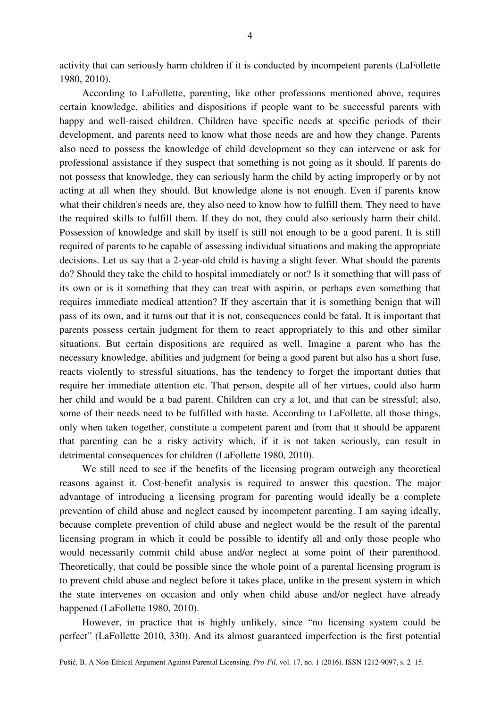activity that can seriously harm children if it is conducted by incompetent parents (LaFollette 1980, 2010).

According to LaFollette, parenting, like other professions mentioned above, requires certain knowledge, abilities and dispositions if people want to be successful parents with happy and well-raised children. Children have specific needs at specific periods of their development, and parents need to know what those needs are and how they change. Parents also need to possess the knowledge of child development so they can intervene or ask for professional assistance if they suspect that something is not going as it should. If parents do not possess that knowledge, they can seriously harm the child by acting improperly or by not acting at all when they should. But knowledge alone is not enough. Even if parents know what their children's needs are, they also need to know how to fulfill them. They need to have the required skills to fulfill them. If they do not, they could also seriously harm their child. Possession of knowledge and skill by itself is still not enough to be a good parent. It is still required of parents to be capable of assessing individual situations and making the appropriate decisions. Let us say that a 2-year-old child is having a slight fever. What should the parents do? Should they take the child to hospital immediately or not? Is it something that will pass of its own or is it something that they can treat with aspirin, or perhaps even something that requires immediate medical attention? If they ascertain that it is something benign that will pass of its own, and it turns out that it is not, consequences could be fatal. It is important that parents possess certain judgment for them to react appropriately to this and other similar situations. But certain dispositions are required as well. Imagine a parent who has the necessary knowledge, abilities and judgment for being a good parent but also has a short fuse, reacts violently to stressful situations, has the tendency to forget the important duties that require her immediate attention etc. That person, despite all of her virtues, could also harm her child and would be a bad parent. Children can cry a lot, and that can be stressful; also, some of their needs need to be fulfilled with haste. According to LaFollette, all those things, only when taken together, constitute a competent parent and from that it should be apparent that parenting can be a risky activity which, if it is not taken seriously, can result in detrimental consequences for children (LaFollette 1980, 2010).

We still need to see if the benefits of the licensing program outweigh any theoretical reasons against it. Cost-benefit analysis is required to answer this question. The major advantage of introducing a licensing program for parenting would ideally be a complete prevention of child abuse and neglect caused by incompetent parenting. I am saying ideally, because complete prevention of child abuse and neglect would be the result of the parental licensing program in which it could be possible to identify all and only those people who would necessarily commit child abuse and/or neglect at some point of their parenthood. Theoretically, that could be possible since the whole point of a parental licensing program is to prevent child abuse and neglect before it takes place, unlike in the present system in which the state intervenes on occasion and only when child abuse and/or neglect have already happened (LaFollette 1980, 2010).

However, in practice that is highly unlikely, since "no licensing system could be perfect" (LaFollette 2010, 330). And its almost guaranteed imperfection is the first potential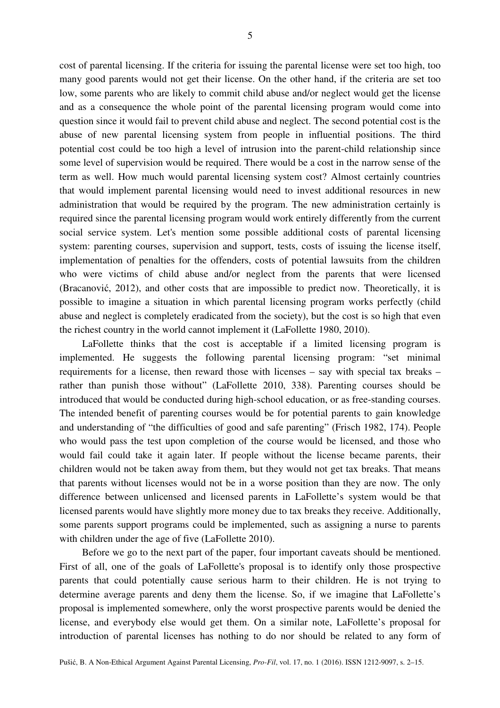5

cost of parental licensing. If the criteria for issuing the parental license were set too high, too many good parents would not get their license. On the other hand, if the criteria are set too low, some parents who are likely to commit child abuse and/or neglect would get the license and as a consequence the whole point of the parental licensing program would come into question since it would fail to prevent child abuse and neglect. The second potential cost is the abuse of new parental licensing system from people in influential positions. The third potential cost could be too high a level of intrusion into the parent-child relationship since some level of supervision would be required. There would be a cost in the narrow sense of the term as well. How much would parental licensing system cost? Almost certainly countries that would implement parental licensing would need to invest additional resources in new administration that would be required by the program. The new administration certainly is required since the parental licensing program would work entirely differently from the current social service system. Let's mention some possible additional costs of parental licensing system: parenting courses, supervision and support, tests, costs of issuing the license itself, implementation of penalties for the offenders, costs of potential lawsuits from the children who were victims of child abuse and/or neglect from the parents that were licensed (Bracanović, 2012), and other costs that are impossible to predict now. Theoretically, it is possible to imagine a situation in which parental licensing program works perfectly (child abuse and neglect is completely eradicated from the society), but the cost is so high that even the richest country in the world cannot implement it (LaFollette 1980, 2010).

LaFollette thinks that the cost is acceptable if a limited licensing program is implemented. He suggests the following parental licensing program: "set minimal requirements for a license, then reward those with licenses – say with special tax breaks – rather than punish those without" (LaFollette 2010, 338). Parenting courses should be introduced that would be conducted during high-school education, or as free-standing courses. The intended benefit of parenting courses would be for potential parents to gain knowledge and understanding of "the difficulties of good and safe parenting" (Frisch 1982, 174). People who would pass the test upon completion of the course would be licensed, and those who would fail could take it again later. If people without the license became parents, their children would not be taken away from them, but they would not get tax breaks. That means that parents without licenses would not be in a worse position than they are now. The only difference between unlicensed and licensed parents in LaFollette's system would be that licensed parents would have slightly more money due to tax breaks they receive. Additionally, some parents support programs could be implemented, such as assigning a nurse to parents with children under the age of five (LaFollette 2010).

Before we go to the next part of the paper, four important caveats should be mentioned. First of all, one of the goals of LaFollette's proposal is to identify only those prospective parents that could potentially cause serious harm to their children. He is not trying to determine average parents and deny them the license. So, if we imagine that LaFollette's proposal is implemented somewhere, only the worst prospective parents would be denied the license, and everybody else would get them. On a similar note, LaFollette's proposal for introduction of parental licenses has nothing to do nor should be related to any form of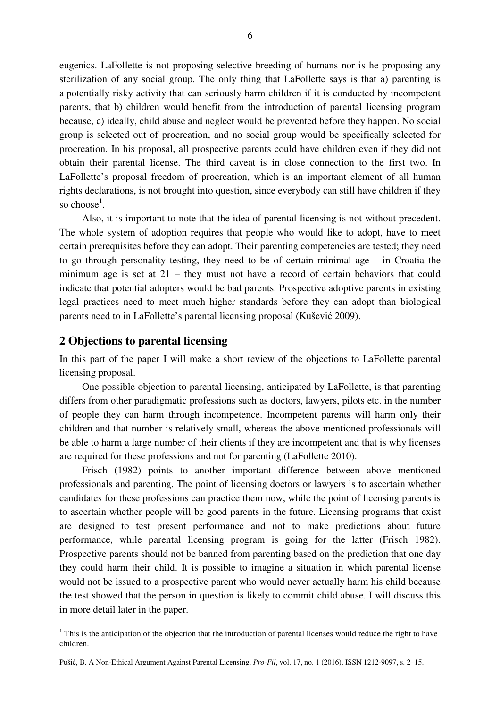eugenics. LaFollette is not proposing selective breeding of humans nor is he proposing any sterilization of any social group. The only thing that LaFollette says is that a) parenting is a potentially risky activity that can seriously harm children if it is conducted by incompetent parents, that b) children would benefit from the introduction of parental licensing program because, c) ideally, child abuse and neglect would be prevented before they happen. No social group is selected out of procreation, and no social group would be specifically selected for procreation. In his proposal, all prospective parents could have children even if they did not obtain their parental license. The third caveat is in close connection to the first two. In LaFollette's proposal freedom of procreation, which is an important element of all human rights declarations, is not brought into question, since everybody can still have children if they so choose<sup>1</sup>.

Also, it is important to note that the idea of parental licensing is not without precedent. The whole system of adoption requires that people who would like to adopt, have to meet certain prerequisites before they can adopt. Their parenting competencies are tested; they need to go through personality testing, they need to be of certain minimal age – in Croatia the minimum age is set at 21 – they must not have a record of certain behaviors that could indicate that potential adopters would be bad parents. Prospective adoptive parents in existing legal practices need to meet much higher standards before they can adopt than biological parents need to in LaFollette's parental licensing proposal (Kušević 2009).

#### **2 Objections to parental licensing**

 $\overline{a}$ 

In this part of the paper I will make a short review of the objections to LaFollette parental licensing proposal.

One possible objection to parental licensing, anticipated by LaFollette, is that parenting differs from other paradigmatic professions such as doctors, lawyers, pilots etc. in the number of people they can harm through incompetence. Incompetent parents will harm only their children and that number is relatively small, whereas the above mentioned professionals will be able to harm a large number of their clients if they are incompetent and that is why licenses are required for these professions and not for parenting (LaFollette 2010).

Frisch (1982) points to another important difference between above mentioned professionals and parenting. The point of licensing doctors or lawyers is to ascertain whether candidates for these professions can practice them now, while the point of licensing parents is to ascertain whether people will be good parents in the future. Licensing programs that exist are designed to test present performance and not to make predictions about future performance, while parental licensing program is going for the latter (Frisch 1982). Prospective parents should not be banned from parenting based on the prediction that one day they could harm their child. It is possible to imagine a situation in which parental license would not be issued to a prospective parent who would never actually harm his child because the test showed that the person in question is likely to commit child abuse. I will discuss this in more detail later in the paper.

 $1$  This is the anticipation of the objection that the introduction of parental licenses would reduce the right to have children.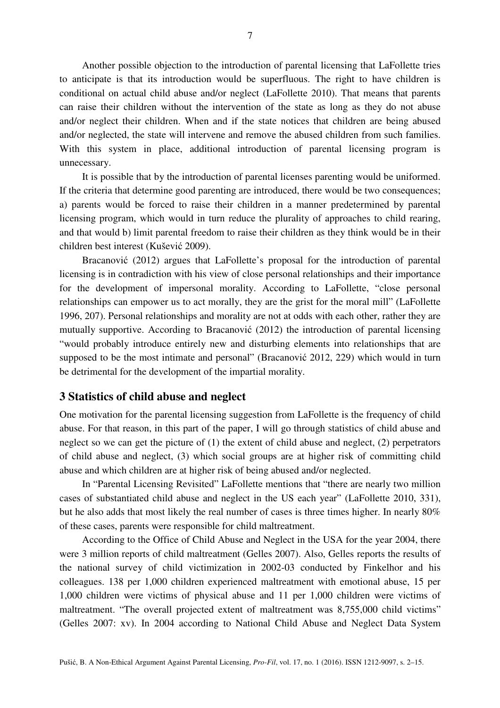Another possible objection to the introduction of parental licensing that LaFollette tries to anticipate is that its introduction would be superfluous. The right to have children is conditional on actual child abuse and/or neglect (LaFollette 2010). That means that parents can raise their children without the intervention of the state as long as they do not abuse and/or neglect their children. When and if the state notices that children are being abused and/or neglected, the state will intervene and remove the abused children from such families. With this system in place, additional introduction of parental licensing program is unnecessary.

It is possible that by the introduction of parental licenses parenting would be uniformed. If the criteria that determine good parenting are introduced, there would be two consequences; a) parents would be forced to raise their children in a manner predetermined by parental licensing program, which would in turn reduce the plurality of approaches to child rearing, and that would b) limit parental freedom to raise their children as they think would be in their children best interest (Kušević 2009).

Bracanović (2012) argues that LaFollette's proposal for the introduction of parental licensing is in contradiction with his view of close personal relationships and their importance for the development of impersonal morality. According to LaFollette, "close personal relationships can empower us to act morally, they are the grist for the moral mill" (LaFollette 1996, 207). Personal relationships and morality are not at odds with each other, rather they are mutually supportive. According to Bracanović (2012) the introduction of parental licensing "would probably introduce entirely new and disturbing elements into relationships that are supposed to be the most intimate and personal" (Bracanović 2012, 229) which would in turn be detrimental for the development of the impartial morality.

#### **3 Statistics of child abuse and neglect**

One motivation for the parental licensing suggestion from LaFollette is the frequency of child abuse. For that reason, in this part of the paper, I will go through statistics of child abuse and neglect so we can get the picture of (1) the extent of child abuse and neglect, (2) perpetrators of child abuse and neglect, (3) which social groups are at higher risk of committing child abuse and which children are at higher risk of being abused and/or neglected.

In "Parental Licensing Revisited" LaFollette mentions that "there are nearly two million cases of substantiated child abuse and neglect in the US each year" (LaFollette 2010, 331), but he also adds that most likely the real number of cases is three times higher. In nearly 80% of these cases, parents were responsible for child maltreatment.

According to the Office of Child Abuse and Neglect in the USA for the year 2004, there were 3 million reports of child maltreatment (Gelles 2007). Also, Gelles reports the results of the national survey of child victimization in 2002-03 conducted by Finkelhor and his colleagues. 138 per 1,000 children experienced maltreatment with emotional abuse, 15 per 1,000 children were victims of physical abuse and 11 per 1,000 children were victims of maltreatment. "The overall projected extent of maltreatment was 8,755,000 child victims" (Gelles 2007: xv). In 2004 according to National Child Abuse and Neglect Data System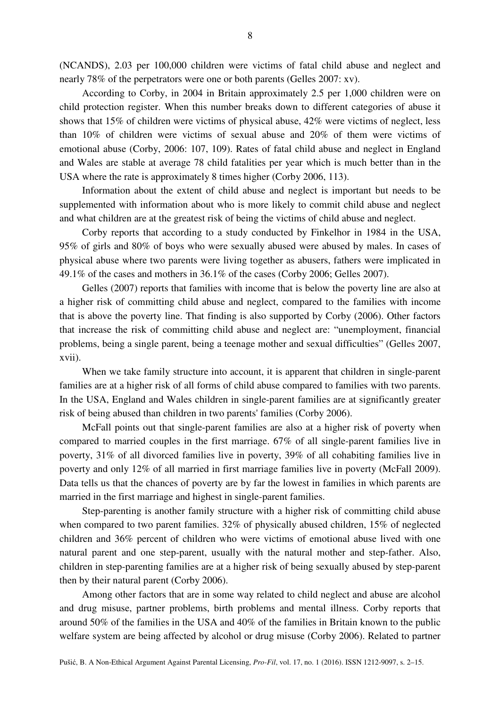(NCANDS), 2.03 per 100,000 children were victims of fatal child abuse and neglect and nearly 78% of the perpetrators were one or both parents (Gelles 2007: xv).

According to Corby, in 2004 in Britain approximately 2.5 per 1,000 children were on child protection register. When this number breaks down to different categories of abuse it shows that 15% of children were victims of physical abuse, 42% were victims of neglect, less than 10% of children were victims of sexual abuse and 20% of them were victims of emotional abuse (Corby, 2006: 107, 109). Rates of fatal child abuse and neglect in England and Wales are stable at average 78 child fatalities per year which is much better than in the USA where the rate is approximately 8 times higher (Corby 2006, 113).

Information about the extent of child abuse and neglect is important but needs to be supplemented with information about who is more likely to commit child abuse and neglect and what children are at the greatest risk of being the victims of child abuse and neglect.

Corby reports that according to a study conducted by Finkelhor in 1984 in the USA, 95% of girls and 80% of boys who were sexually abused were abused by males. In cases of physical abuse where two parents were living together as abusers, fathers were implicated in 49.1% of the cases and mothers in 36.1% of the cases (Corby 2006; Gelles 2007).

Gelles (2007) reports that families with income that is below the poverty line are also at a higher risk of committing child abuse and neglect, compared to the families with income that is above the poverty line. That finding is also supported by Corby (2006). Other factors that increase the risk of committing child abuse and neglect are: "unemployment, financial problems, being a single parent, being a teenage mother and sexual difficulties" (Gelles 2007, xvii).

When we take family structure into account, it is apparent that children in single-parent families are at a higher risk of all forms of child abuse compared to families with two parents. In the USA, England and Wales children in single-parent families are at significantly greater risk of being abused than children in two parents' families (Corby 2006).

McFall points out that single-parent families are also at a higher risk of poverty when compared to married couples in the first marriage. 67% of all single-parent families live in poverty, 31% of all divorced families live in poverty, 39% of all cohabiting families live in poverty and only 12% of all married in first marriage families live in poverty (McFall 2009). Data tells us that the chances of poverty are by far the lowest in families in which parents are married in the first marriage and highest in single-parent families.

Step-parenting is another family structure with a higher risk of committing child abuse when compared to two parent families. 32% of physically abused children, 15% of neglected children and 36% percent of children who were victims of emotional abuse lived with one natural parent and one step-parent, usually with the natural mother and step-father. Also, children in step-parenting families are at a higher risk of being sexually abused by step-parent then by their natural parent (Corby 2006).

Among other factors that are in some way related to child neglect and abuse are alcohol and drug misuse, partner problems, birth problems and mental illness. Corby reports that around 50% of the families in the USA and 40% of the families in Britain known to the public welfare system are being affected by alcohol or drug misuse (Corby 2006). Related to partner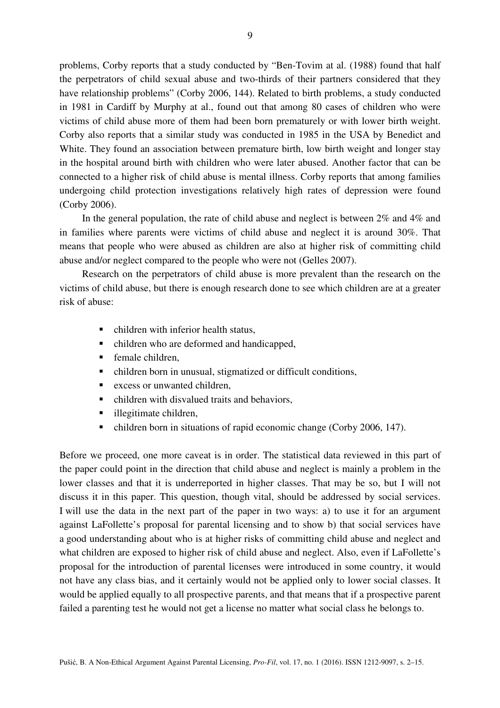problems, Corby reports that a study conducted by "Ben-Tovim at al. (1988) found that half the perpetrators of child sexual abuse and two-thirds of their partners considered that they have relationship problems" (Corby 2006, 144). Related to birth problems, a study conducted in 1981 in Cardiff by Murphy at al., found out that among 80 cases of children who were victims of child abuse more of them had been born prematurely or with lower birth weight. Corby also reports that a similar study was conducted in 1985 in the USA by Benedict and White. They found an association between premature birth, low birth weight and longer stay in the hospital around birth with children who were later abused. Another factor that can be connected to a higher risk of child abuse is mental illness. Corby reports that among families undergoing child protection investigations relatively high rates of depression were found (Corby 2006).

In the general population, the rate of child abuse and neglect is between 2% and 4% and in families where parents were victims of child abuse and neglect it is around 30%. That means that people who were abused as children are also at higher risk of committing child abuse and/or neglect compared to the people who were not (Gelles 2007).

Research on the perpetrators of child abuse is more prevalent than the research on the victims of child abuse, but there is enough research done to see which children are at a greater risk of abuse:

- children with inferior health status,
- children who are deformed and handicapped,
- **F** female children,
- children born in unusual, stigmatized or difficult conditions,
- **EXCESS OF UNIVALUATE CONSERVANCE**
- children with disvalued traits and behaviors,
- illegitimate children,
- children born in situations of rapid economic change (Corby 2006, 147).

Before we proceed, one more caveat is in order. The statistical data reviewed in this part of the paper could point in the direction that child abuse and neglect is mainly a problem in the lower classes and that it is underreported in higher classes. That may be so, but I will not discuss it in this paper. This question, though vital, should be addressed by social services. I will use the data in the next part of the paper in two ways: a) to use it for an argument against LaFollette's proposal for parental licensing and to show b) that social services have a good understanding about who is at higher risks of committing child abuse and neglect and what children are exposed to higher risk of child abuse and neglect. Also, even if LaFollette's proposal for the introduction of parental licenses were introduced in some country, it would not have any class bias, and it certainly would not be applied only to lower social classes. It would be applied equally to all prospective parents, and that means that if a prospective parent failed a parenting test he would not get a license no matter what social class he belongs to.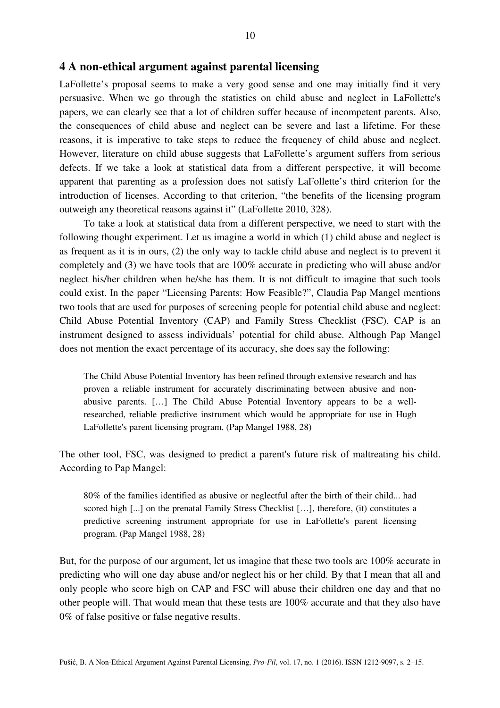#### **4 A non-ethical argument against parental licensing**

LaFollette's proposal seems to make a very good sense and one may initially find it very persuasive. When we go through the statistics on child abuse and neglect in LaFollette's papers, we can clearly see that a lot of children suffer because of incompetent parents. Also, the consequences of child abuse and neglect can be severe and last a lifetime. For these reasons, it is imperative to take steps to reduce the frequency of child abuse and neglect. However, literature on child abuse suggests that LaFollette's argument suffers from serious defects. If we take a look at statistical data from a different perspective, it will become apparent that parenting as a profession does not satisfy LaFollette's third criterion for the introduction of licenses. According to that criterion, "the benefits of the licensing program outweigh any theoretical reasons against it" (LaFollette 2010, 328).

To take a look at statistical data from a different perspective, we need to start with the following thought experiment. Let us imagine a world in which (1) child abuse and neglect is as frequent as it is in ours, (2) the only way to tackle child abuse and neglect is to prevent it completely and (3) we have tools that are 100% accurate in predicting who will abuse and/or neglect his/her children when he/she has them. It is not difficult to imagine that such tools could exist. In the paper "Licensing Parents: How Feasible?", Claudia Pap Mangel mentions two tools that are used for purposes of screening people for potential child abuse and neglect: Child Abuse Potential Inventory (CAP) and Family Stress Checklist (FSC). CAP is an instrument designed to assess individuals' potential for child abuse. Although Pap Mangel does not mention the exact percentage of its accuracy, she does say the following:

The Child Abuse Potential Inventory has been refined through extensive research and has proven a reliable instrument for accurately discriminating between abusive and nonabusive parents. […] The Child Abuse Potential Inventory appears to be a wellresearched, reliable predictive instrument which would be appropriate for use in Hugh LaFollette's parent licensing program. (Pap Mangel 1988, 28)

The other tool, FSC, was designed to predict a parent's future risk of maltreating his child. According to Pap Mangel:

80% of the families identified as abusive or neglectful after the birth of their child... had scored high [...] on the prenatal Family Stress Checklist […], therefore, (it) constitutes a predictive screening instrument appropriate for use in LaFollette's parent licensing program. (Pap Mangel 1988, 28)

But, for the purpose of our argument, let us imagine that these two tools are 100% accurate in predicting who will one day abuse and/or neglect his or her child. By that I mean that all and only people who score high on CAP and FSC will abuse their children one day and that no other people will. That would mean that these tests are 100% accurate and that they also have 0% of false positive or false negative results.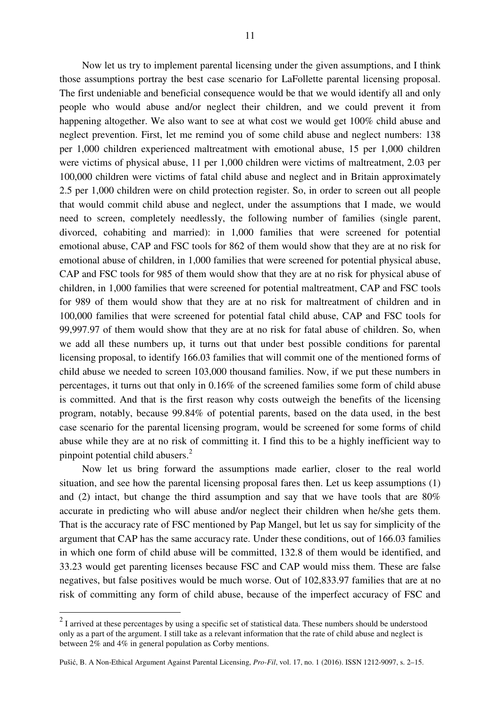Now let us try to implement parental licensing under the given assumptions, and I think those assumptions portray the best case scenario for LaFollette parental licensing proposal. The first undeniable and beneficial consequence would be that we would identify all and only people who would abuse and/or neglect their children, and we could prevent it from happening altogether. We also want to see at what cost we would get 100% child abuse and neglect prevention. First, let me remind you of some child abuse and neglect numbers: 138 per 1,000 children experienced maltreatment with emotional abuse, 15 per 1,000 children were victims of physical abuse, 11 per 1,000 children were victims of maltreatment, 2.03 per 100,000 children were victims of fatal child abuse and neglect and in Britain approximately 2.5 per 1,000 children were on child protection register. So, in order to screen out all people that would commit child abuse and neglect, under the assumptions that I made, we would need to screen, completely needlessly, the following number of families (single parent, divorced, cohabiting and married): in 1,000 families that were screened for potential emotional abuse, CAP and FSC tools for 862 of them would show that they are at no risk for emotional abuse of children, in 1,000 families that were screened for potential physical abuse, CAP and FSC tools for 985 of them would show that they are at no risk for physical abuse of children, in 1,000 families that were screened for potential maltreatment, CAP and FSC tools for 989 of them would show that they are at no risk for maltreatment of children and in 100,000 families that were screened for potential fatal child abuse, CAP and FSC tools for 99,997.97 of them would show that they are at no risk for fatal abuse of children. So, when we add all these numbers up, it turns out that under best possible conditions for parental licensing proposal, to identify 166.03 families that will commit one of the mentioned forms of child abuse we needed to screen 103,000 thousand families. Now, if we put these numbers in percentages, it turns out that only in 0.16% of the screened families some form of child abuse is committed. And that is the first reason why costs outweigh the benefits of the licensing program, notably, because 99.84% of potential parents, based on the data used, in the best case scenario for the parental licensing program, would be screened for some forms of child abuse while they are at no risk of committing it. I find this to be a highly inefficient way to pinpoint potential child abusers.<sup>2</sup>

Now let us bring forward the assumptions made earlier, closer to the real world situation, and see how the parental licensing proposal fares then. Let us keep assumptions (1) and (2) intact, but change the third assumption and say that we have tools that are 80% accurate in predicting who will abuse and/or neglect their children when he/she gets them. That is the accuracy rate of FSC mentioned by Pap Mangel, but let us say for simplicity of the argument that CAP has the same accuracy rate. Under these conditions, out of 166.03 families in which one form of child abuse will be committed, 132.8 of them would be identified, and 33.23 would get parenting licenses because FSC and CAP would miss them. These are false negatives, but false positives would be much worse. Out of 102,833.97 families that are at no risk of committing any form of child abuse, because of the imperfect accuracy of FSC and

<sup>&</sup>lt;sup>2</sup> I arrived at these percentages by using a specific set of statistical data. These numbers should be understood only as a part of the argument. I still take as a relevant information that the rate of child abuse and neglect is between 2% and 4% in general population as Corby mentions.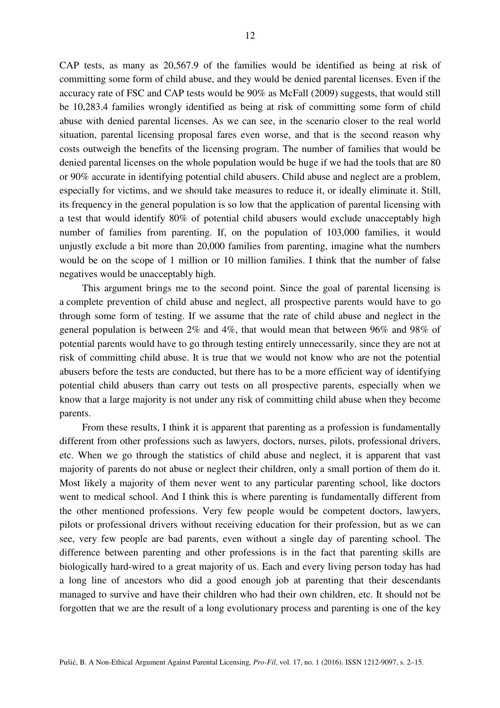CAP tests, as many as 20,567.9 of the families would be identified as being at risk of committing some form of child abuse, and they would be denied parental licenses. Even if the accuracy rate of FSC and CAP tests would be 90% as McFall (2009) suggests, that would still be 10,283.4 families wrongly identified as being at risk of committing some form of child abuse with denied parental licenses. As we can see, in the scenario closer to the real world situation, parental licensing proposal fares even worse, and that is the second reason why costs outweigh the benefits of the licensing program. The number of families that would be denied parental licenses on the whole population would be huge if we had the tools that are 80 or 90% accurate in identifying potential child abusers. Child abuse and neglect are a problem, especially for victims, and we should take measures to reduce it, or ideally eliminate it. Still, its frequency in the general population is so low that the application of parental licensing with a test that would identify 80% of potential child abusers would exclude unacceptably high number of families from parenting. If, on the population of 103,000 families, it would unjustly exclude a bit more than 20,000 families from parenting, imagine what the numbers would be on the scope of 1 million or 10 million families. I think that the number of false negatives would be unacceptably high.

This argument brings me to the second point. Since the goal of parental licensing is a complete prevention of child abuse and neglect, all prospective parents would have to go through some form of testing. If we assume that the rate of child abuse and neglect in the general population is between 2% and 4%, that would mean that between 96% and 98% of potential parents would have to go through testing entirely unnecessarily, since they are not at risk of committing child abuse. It is true that we would not know who are not the potential abusers before the tests are conducted, but there has to be a more efficient way of identifying potential child abusers than carry out tests on all prospective parents, especially when we know that a large majority is not under any risk of committing child abuse when they become parents.

From these results, I think it is apparent that parenting as a profession is fundamentally different from other professions such as lawyers, doctors, nurses, pilots, professional drivers, etc. When we go through the statistics of child abuse and neglect, it is apparent that vast majority of parents do not abuse or neglect their children, only a small portion of them do it. Most likely a majority of them never went to any particular parenting school, like doctors went to medical school. And I think this is where parenting is fundamentally different from the other mentioned professions. Very few people would be competent doctors, lawyers, pilots or professional drivers without receiving education for their profession, but as we can see, very few people are bad parents, even without a single day of parenting school. The difference between parenting and other professions is in the fact that parenting skills are biologically hard-wired to a great majority of us. Each and every living person today has had a long line of ancestors who did a good enough job at parenting that their descendants managed to survive and have their children who had their own children, etc. It should not be forgotten that we are the result of a long evolutionary process and parenting is one of the key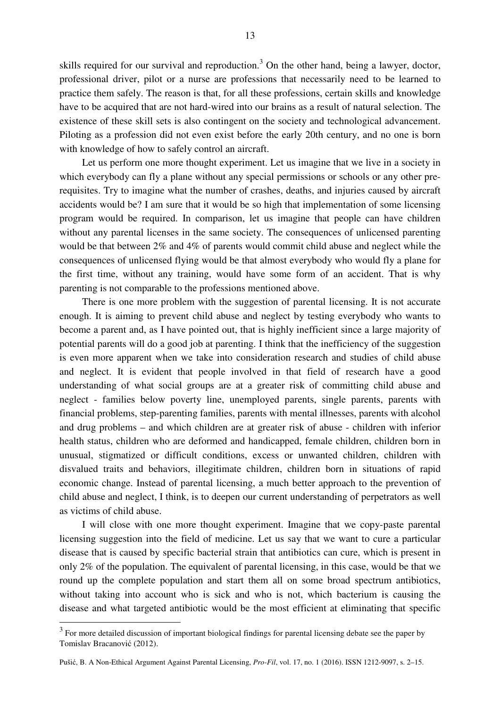skills required for our survival and reproduction.<sup>3</sup> On the other hand, being a lawyer, doctor, professional driver, pilot or a nurse are professions that necessarily need to be learned to practice them safely. The reason is that, for all these professions, certain skills and knowledge have to be acquired that are not hard-wired into our brains as a result of natural selection. The existence of these skill sets is also contingent on the society and technological advancement. Piloting as a profession did not even exist before the early 20th century, and no one is born with knowledge of how to safely control an aircraft.

Let us perform one more thought experiment. Let us imagine that we live in a society in which everybody can fly a plane without any special permissions or schools or any other prerequisites. Try to imagine what the number of crashes, deaths, and injuries caused by aircraft accidents would be? I am sure that it would be so high that implementation of some licensing program would be required. In comparison, let us imagine that people can have children without any parental licenses in the same society. The consequences of unlicensed parenting would be that between 2% and 4% of parents would commit child abuse and neglect while the consequences of unlicensed flying would be that almost everybody who would fly a plane for the first time, without any training, would have some form of an accident. That is why parenting is not comparable to the professions mentioned above.

There is one more problem with the suggestion of parental licensing. It is not accurate enough. It is aiming to prevent child abuse and neglect by testing everybody who wants to become a parent and, as I have pointed out, that is highly inefficient since a large majority of potential parents will do a good job at parenting. I think that the inefficiency of the suggestion is even more apparent when we take into consideration research and studies of child abuse and neglect. It is evident that people involved in that field of research have a good understanding of what social groups are at a greater risk of committing child abuse and neglect - families below poverty line, unemployed parents, single parents, parents with financial problems, step-parenting families, parents with mental illnesses, parents with alcohol and drug problems – and which children are at greater risk of abuse - children with inferior health status, children who are deformed and handicapped, female children, children born in unusual, stigmatized or difficult conditions, excess or unwanted children, children with disvalued traits and behaviors, illegitimate children, children born in situations of rapid economic change. Instead of parental licensing, a much better approach to the prevention of child abuse and neglect, I think, is to deepen our current understanding of perpetrators as well as victims of child abuse.

I will close with one more thought experiment. Imagine that we copy-paste parental licensing suggestion into the field of medicine. Let us say that we want to cure a particular disease that is caused by specific bacterial strain that antibiotics can cure, which is present in only 2% of the population. The equivalent of parental licensing, in this case, would be that we round up the complete population and start them all on some broad spectrum antibiotics, without taking into account who is sick and who is not, which bacterium is causing the disease and what targeted antibiotic would be the most efficient at eliminating that specific

 $\overline{\phantom{a}}$ 

 $3$  For more detailed discussion of important biological findings for parental licensing debate see the paper by Tomislav Bracanović (2012).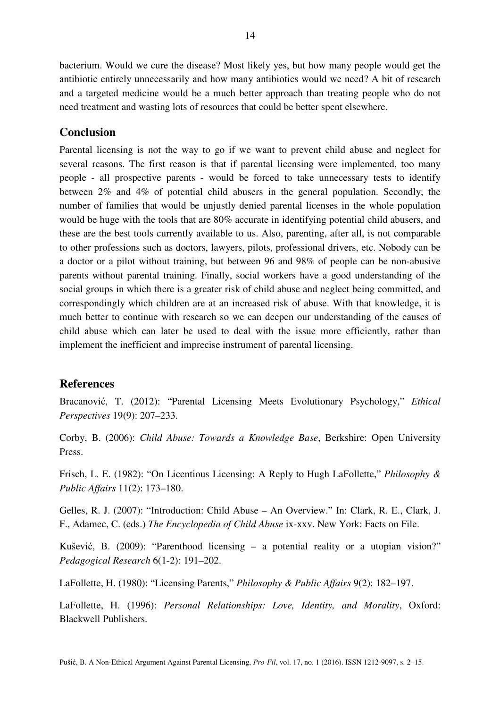bacterium. Would we cure the disease? Most likely yes, but how many people would get the antibiotic entirely unnecessarily and how many antibiotics would we need? A bit of research and a targeted medicine would be a much better approach than treating people who do not need treatment and wasting lots of resources that could be better spent elsewhere.

## **Conclusion**

Parental licensing is not the way to go if we want to prevent child abuse and neglect for several reasons. The first reason is that if parental licensing were implemented, too many people - all prospective parents - would be forced to take unnecessary tests to identify between 2% and 4% of potential child abusers in the general population. Secondly, the number of families that would be unjustly denied parental licenses in the whole population would be huge with the tools that are 80% accurate in identifying potential child abusers, and these are the best tools currently available to us. Also, parenting, after all, is not comparable to other professions such as doctors, lawyers, pilots, professional drivers, etc. Nobody can be a doctor or a pilot without training, but between 96 and 98% of people can be non-abusive parents without parental training. Finally, social workers have a good understanding of the social groups in which there is a greater risk of child abuse and neglect being committed, and correspondingly which children are at an increased risk of abuse. With that knowledge, it is much better to continue with research so we can deepen our understanding of the causes of child abuse which can later be used to deal with the issue more efficiently, rather than implement the inefficient and imprecise instrument of parental licensing.

## **References**

Bracanović, T. (2012): "Parental Licensing Meets Evolutionary Psychology," *Ethical Perspectives* 19(9): 207–233.

Corby, B. (2006): *Child Abuse: Towards a Knowledge Base*, Berkshire: Open University Press.

Frisch, L. E. (1982): "On Licentious Licensing: A Reply to Hugh LaFollette," *Philosophy & Public Affairs* 11(2): 173–180.

Gelles, R. J. (2007): "Introduction: Child Abuse – An Overview." In: Clark, R. E., Clark, J. F., Adamec, C. (eds.) *The Encyclopedia of Child Abuse* ix-xxv. New York: Facts on File.

Kušević, B. (2009): "Parenthood licensing – a potential reality or a utopian vision?" *Pedagogical Research* 6(1-2): 191–202.

LaFollette, H. (1980): "Licensing Parents," *Philosophy & Public Affairs* 9(2): 182–197.

LaFollette, H. (1996): *Personal Relationships: Love, Identity, and Morality*, Oxford: Blackwell Publishers.